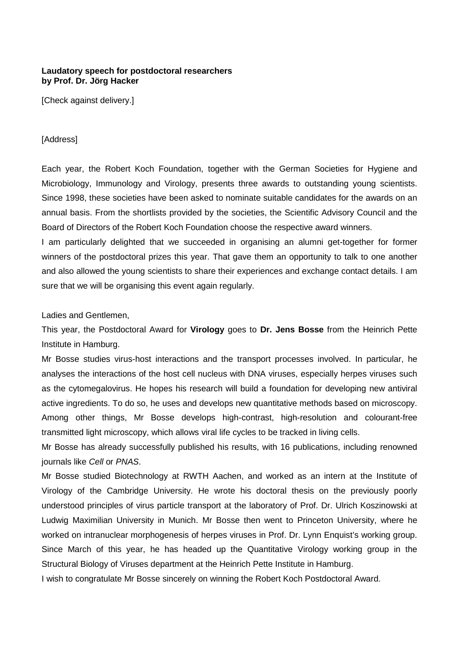## **Laudatory speech for postdoctoral researchers by Prof. Dr. Jörg Hacker**

[Check against delivery.]

## [Address]

Each year, the Robert Koch Foundation, together with the German Societies for Hygiene and Microbiology, Immunology and Virology, presents three awards to outstanding young scientists. Since 1998, these societies have been asked to nominate suitable candidates for the awards on an annual basis. From the shortlists provided by the societies, the Scientific Advisory Council and the Board of Directors of the Robert Koch Foundation choose the respective award winners.

I am particularly delighted that we succeeded in organising an alumni get-together for former winners of the postdoctoral prizes this year. That gave them an opportunity to talk to one another and also allowed the young scientists to share their experiences and exchange contact details. I am sure that we will be organising this event again regularly.

Ladies and Gentlemen,

This year, the Postdoctoral Award for **Virology** goes to **Dr. Jens Bosse** from the Heinrich Pette Institute in Hamburg.

Mr Bosse studies virus-host interactions and the transport processes involved. In particular, he analyses the interactions of the host cell nucleus with DNA viruses, especially herpes viruses such as the cytomegalovirus. He hopes his research will build a foundation for developing new antiviral active ingredients. To do so, he uses and develops new quantitative methods based on microscopy. Among other things, Mr Bosse develops high-contrast, high-resolution and colourant-free transmitted light microscopy, which allows viral life cycles to be tracked in living cells.

Mr Bosse has already successfully published his results, with 16 publications, including renowned journals like *Cell* or *PNAS*.

Mr Bosse studied Biotechnology at RWTH Aachen, and worked as an intern at the Institute of Virology of the Cambridge University. He wrote his doctoral thesis on the previously poorly understood principles of virus particle transport at the laboratory of Prof. Dr. Ulrich Koszinowski at Ludwig Maximilian University in Munich. Mr Bosse then went to Princeton University, where he worked on intranuclear morphogenesis of herpes viruses in Prof. Dr. Lynn Enquist's working group. Since March of this year, he has headed up the Quantitative Virology working group in the Structural Biology of Viruses department at the Heinrich Pette Institute in Hamburg.

I wish to congratulate Mr Bosse sincerely on winning the Robert Koch Postdoctoral Award.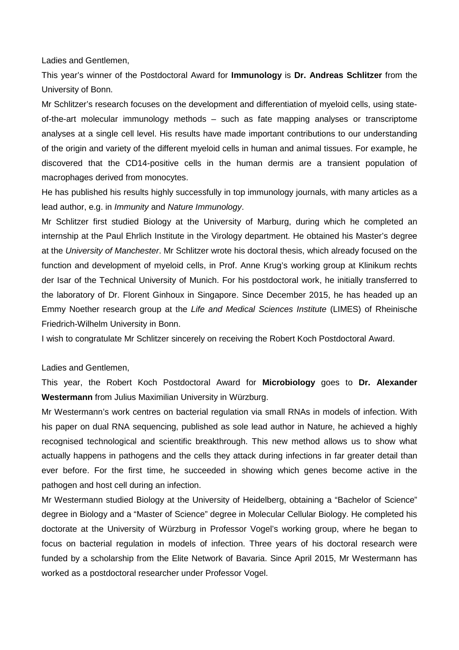Ladies and Gentlemen,

This year's winner of the Postdoctoral Award for **Immunology** is **Dr. Andreas Schlitzer** from the University of Bonn.

Mr Schlitzer's research focuses on the development and differentiation of myeloid cells, using stateof-the-art molecular immunology methods – such as fate mapping analyses or transcriptome analyses at a single cell level. His results have made important contributions to our understanding of the origin and variety of the different myeloid cells in human and animal tissues. For example, he discovered that the CD14-positive cells in the human dermis are a transient population of macrophages derived from monocytes.

He has published his results highly successfully in top immunology journals, with many articles as a lead author, e.g. in *Immunity* and *Nature Immunology*.

Mr Schlitzer first studied Biology at the University of Marburg, during which he completed an internship at the Paul Ehrlich Institute in the Virology department. He obtained his Master's degree at the *University of Manchester*. Mr Schlitzer wrote his doctoral thesis, which already focused on the function and development of myeloid cells, in Prof. Anne Krug's working group at Klinikum rechts der Isar of the Technical University of Munich. For his postdoctoral work, he initially transferred to the laboratory of Dr. Florent Ginhoux in Singapore. Since December 2015, he has headed up an Emmy Noether research group at the *Life and Medical Sciences Institute* (LIMES) of Rheinische Friedrich-Wilhelm University in Bonn.

I wish to congratulate Mr Schlitzer sincerely on receiving the Robert Koch Postdoctoral Award.

## Ladies and Gentlemen,

This year, the Robert Koch Postdoctoral Award for **Microbiology** goes to **Dr. Alexander Westermann** from Julius Maximilian University in Würzburg.

Mr Westermann's work centres on bacterial regulation via small RNAs in models of infection. With his paper on dual RNA sequencing, published as sole lead author in Nature, he achieved a highly recognised technological and scientific breakthrough. This new method allows us to show what actually happens in pathogens and the cells they attack during infections in far greater detail than ever before. For the first time, he succeeded in showing which genes become active in the pathogen and host cell during an infection.

Mr Westermann studied Biology at the University of Heidelberg, obtaining a "Bachelor of Science" degree in Biology and a "Master of Science" degree in Molecular Cellular Biology. He completed his doctorate at the University of Würzburg in Professor Vogel's working group, where he began to focus on bacterial regulation in models of infection. Three years of his doctoral research were funded by a scholarship from the Elite Network of Bavaria. Since April 2015, Mr Westermann has worked as a postdoctoral researcher under Professor Vogel.